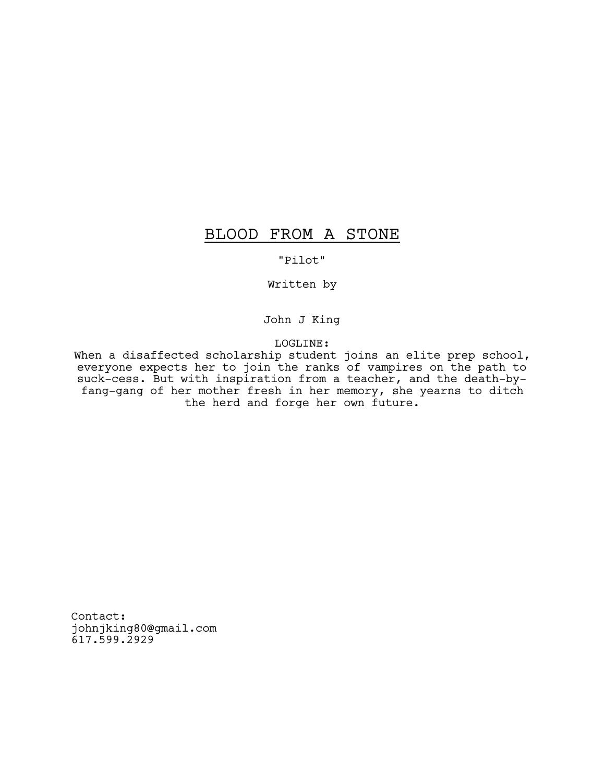# BLOOD FROM A STONE

# "Pilot"

Written by

John J King

LOGLINE:

When a disaffected scholarship student joins an elite prep school, everyone expects her to join the ranks of vampires on the path to suck-cess. But with inspiration from a teacher, and the death-byfang-gang of her mother fresh in her memory, she yearns to ditch the herd and forge her own future.

Contact: johnjking80@gmail.com 617.599.2929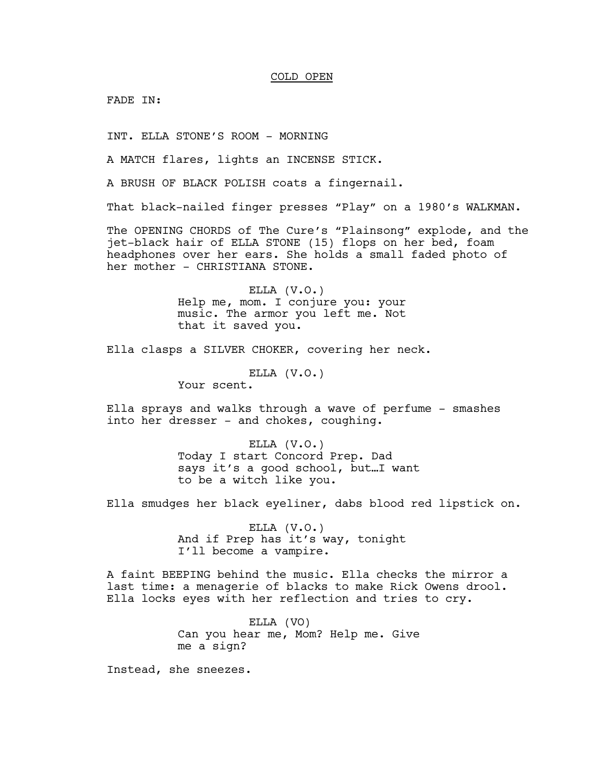## COLD OPEN

FADE IN:

INT. ELLA STONE'S ROOM - MORNING

A MATCH flares, lights an INCENSE STICK.

A BRUSH OF BLACK POLISH coats a fingernail.

That black-nailed finger presses "Play" on a 1980's WALKMAN.

The OPENING CHORDS of The Cure's "Plainsong" explode, and the jet-black hair of ELLA STONE (15) flops on her bed, foam headphones over her ears. She holds a small faded photo of her mother - CHRISTIANA STONE.

> ELLA (V.O.) Help me, mom. I conjure you: your music. The armor you left me. Not that it saved you.

Ella clasps a SILVER CHOKER, covering her neck.

ELLA (V.O.)

Your scent.

Ella sprays and walks through a wave of perfume - smashes into her dresser - and chokes, coughing.

> ELLA (V.O.) Today I start Concord Prep. Dad says it's a good school, but…I want to be a witch like you.

Ella smudges her black eyeliner, dabs blood red lipstick on.

ELLA (V.O.) And if Prep has it's way, tonight I'll become a vampire.

A faint BEEPING behind the music. Ella checks the mirror a last time: a menagerie of blacks to make Rick Owens drool. Ella locks eyes with her reflection and tries to cry.

> ELLA (VO) Can you hear me, Mom? Help me. Give me a sign?

Instead, she sneezes.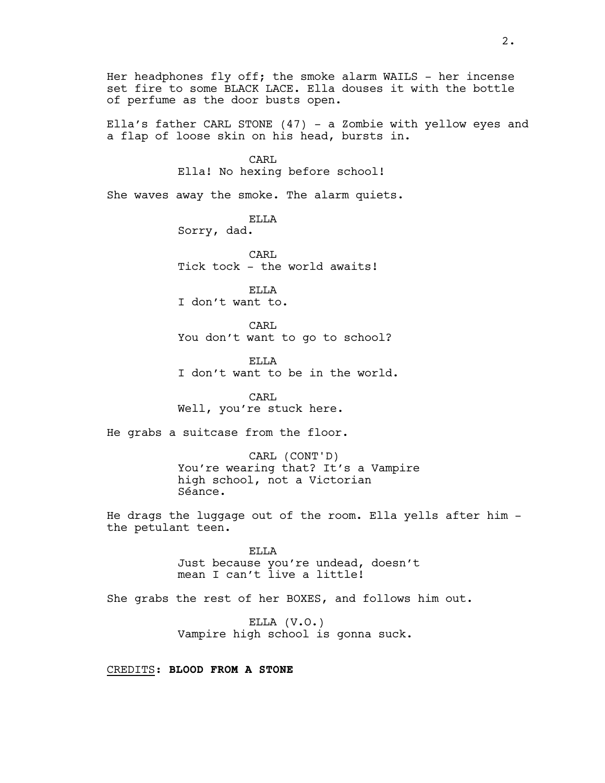Her headphones fly off; the smoke alarm WAILS  $-$  her incense set fire to some BLACK LACE. Ella douses it with the bottle of perfume as the door busts open. Ella's father CARL STONE (47) - a Zombie with yellow eyes and a flap of loose skin on his head, bursts in. CARL Ella! No hexing before school! She waves away the smoke. The alarm quiets. ELLA Sorry, dad. CARL Tick tock - the world awaits! ELLA I don't want to. CARL You don't want to go to school? ELLA I don't want to be in the world. CARL Well, you're stuck here. He grabs a suitcase from the floor. CARL (CONT'D) You're wearing that? It's a Vampire high school, not a Victorian Séance. He drags the luggage out of the room. Ella yells after him the petulant teen. ELLA Just because you're undead, doesn't mean I can't live a little! She grabs the rest of her BOXES, and follows him out. ELLA (V.O.) Vampire high school is gonna suck.

CREDITS: **BLOOD FROM A STONE**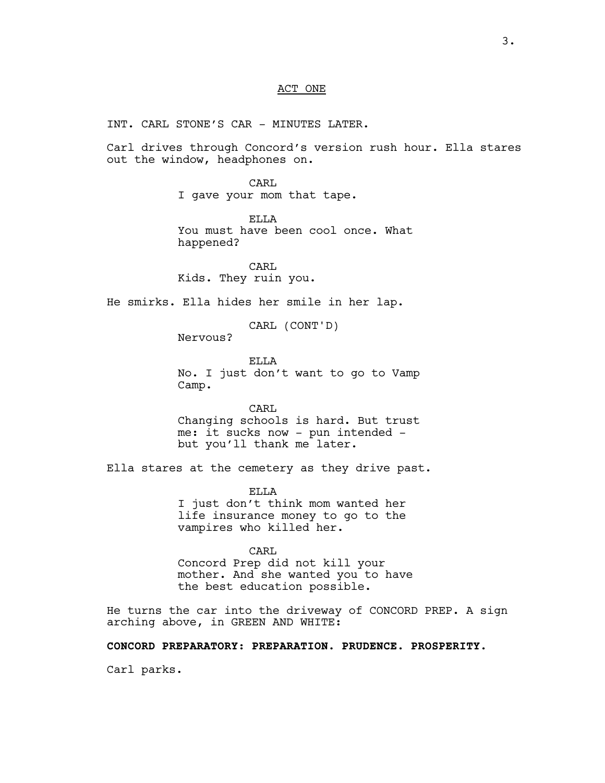### ACT ONE

INT. CARL STONE'S CAR - MINUTES LATER.

Carl drives through Concord's version rush hour. Ella stares out the window, headphones on.

> CARL I gave your mom that tape.

ELLA You must have been cool once. What happened?

CARL Kids. They ruin you.

He smirks. Ella hides her smile in her lap.

CARL (CONT'D)

Nervous?

ELLA No. I just don't want to go to Vamp Camp.

CARL Changing schools is hard. But trust me: it sucks now - pun intended but you'll thank me later.

Ella stares at the cemetery as they drive past.

ELLA I just don't think mom wanted her life insurance money to go to the vampires who killed her.

CARL Concord Prep did not kill your mother. And she wanted you to have the best education possible.

He turns the car into the driveway of CONCORD PREP. A sign arching above, in GREEN AND WHITE:

**CONCORD PREPARATORY: PREPARATION. PRUDENCE. PROSPERITY.**

Carl parks.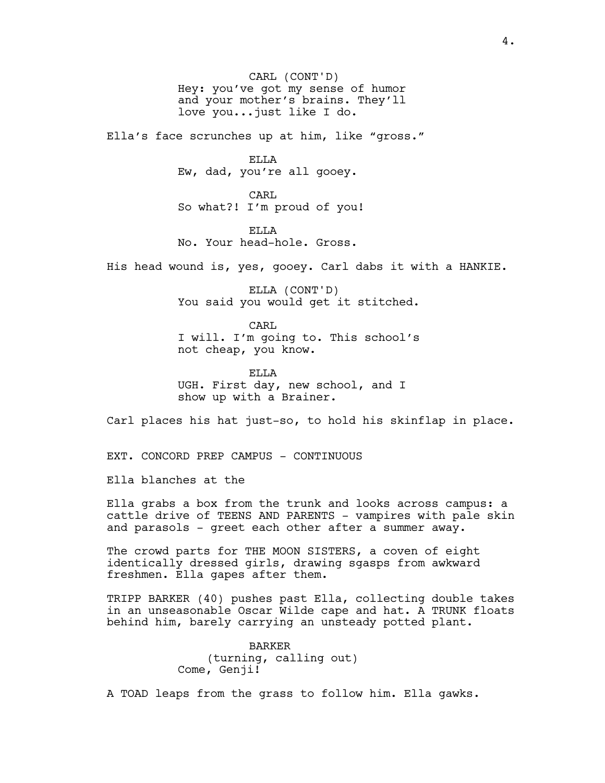CARL (CONT'D) Hey: you've got my sense of humor and your mother's brains. They'll love you...just like I do.

Ella's face scrunches up at him, like "gross."

ELLA Ew, dad, you're all gooey.

CARL So what?! I'm proud of you!

ELLA No. Your head-hole. Gross.

His head wound is, yes, gooey. Carl dabs it with a HANKIE.

ELLA (CONT'D) You said you would get it stitched.

CARL I will. I'm going to. This school's not cheap, you know.

ELLA UGH. First day, new school, and I show up with a Brainer.

Carl places his hat just-so, to hold his skinflap in place.

EXT. CONCORD PREP CAMPUS - CONTINUOUS

Ella blanches at the

Ella grabs a box from the trunk and looks across campus: a cattle drive of TEENS AND PARENTS - vampires with pale skin and parasols - greet each other after a summer away.

The crowd parts for THE MOON SISTERS, a coven of eight identically dressed girls, drawing sgasps from awkward freshmen. Ella gapes after them.

TRIPP BARKER (40) pushes past Ella, collecting double takes in an unseasonable Oscar Wilde cape and hat. A TRUNK floats behind him, barely carrying an unsteady potted plant.

> BARKER (turning, calling out) Come, Genji!

A TOAD leaps from the grass to follow him. Ella gawks.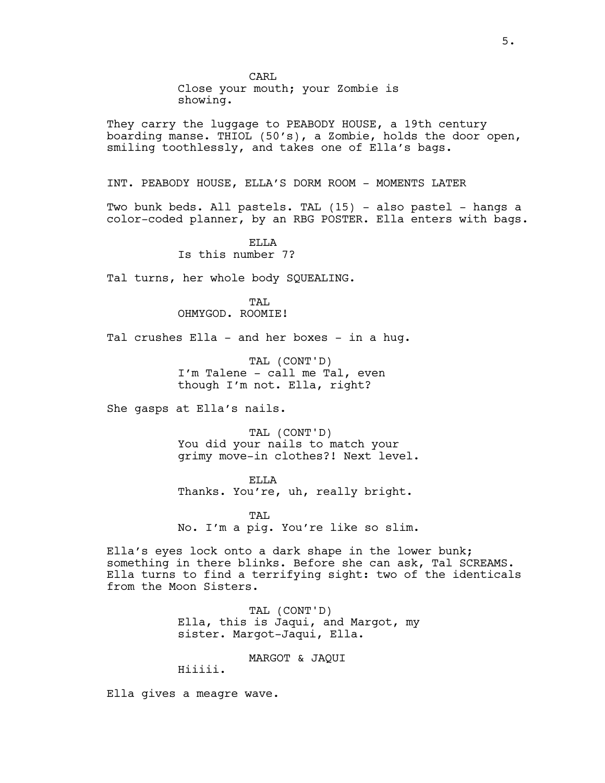Close your mouth; your Zombie is showing.

They carry the luggage to PEABODY HOUSE, a 19th century boarding manse. THIOL (50's), a Zombie, holds the door open, smiling toothlessly, and takes one of Ella's bags.

INT. PEABODY HOUSE, ELLA'S DORM ROOM - MOMENTS LATER

Two bunk beds. All pastels. TAL (15) - also pastel - hangs a color-coded planner, by an RBG POSTER. Ella enters with bags.

> ELLA Is this number 7?

Tal turns, her whole body SQUEALING.

TAT. OHMYGOD. ROOMIE!

Tal crushes Ella - and her boxes - in a hug.

TAL (CONT'D) I'm Talene - call me Tal, even though I'm not. Ella, right?

She gasps at Ella's nails.

TAL (CONT'D) You did your nails to match your grimy move-in clothes?! Next level.

ELLA Thanks. You're, uh, really bright.

TAT. No. I'm a pig. You're like so slim.

Ella's eyes lock onto a dark shape in the lower bunk; something in there blinks. Before she can ask, Tal SCREAMS. Ella turns to find a terrifying sight: two of the identicals from the Moon Sisters.

> TAL (CONT'D) Ella, this is Jaqui, and Margot, my sister. Margot-Jaqui, Ella.

> > MARGOT & JAQUI

Hiiiii.

Ella gives a meagre wave.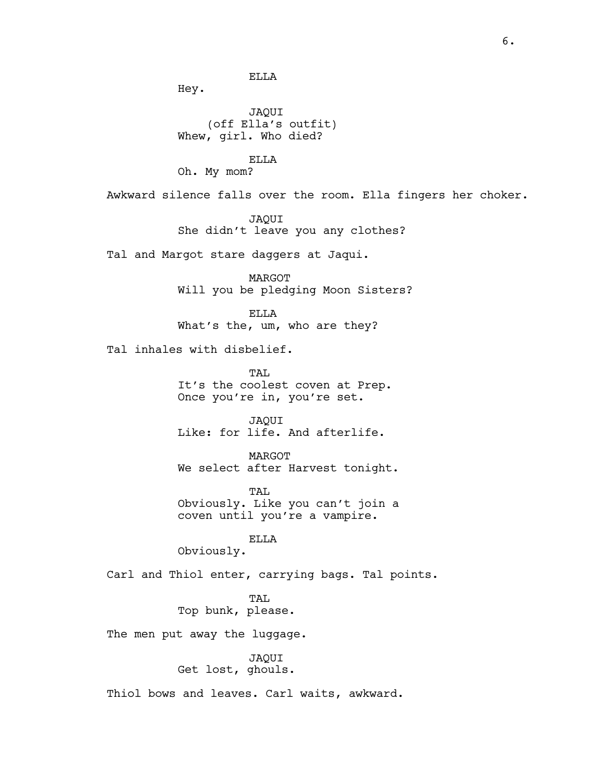ELLA

Hey.

JAQUI (off Ella's outfit) Whew, girl. Who died?

ELLA Oh. My mom?

Awkward silence falls over the room. Ella fingers her choker.

JAQUI She didn't leave you any clothes?

Tal and Margot stare daggers at Jaqui.

MARGOT Will you be pledging Moon Sisters?

ELLA What's the, um, who are they?

Tal inhales with disbelief.

TAL. It's the coolest coven at Prep. Once you're in, you're set.

JAQUI Like: for life. And afterlife.

MARGOT We select after Harvest tonight.

TAL. Obviously. Like you can't join a coven until you're a vampire.

ELLA

Obviously.

Carl and Thiol enter, carrying bags. Tal points.

TAT.

Top bunk, please.

The men put away the luggage.

JAQUI Get lost, ghouls.

Thiol bows and leaves. Carl waits, awkward.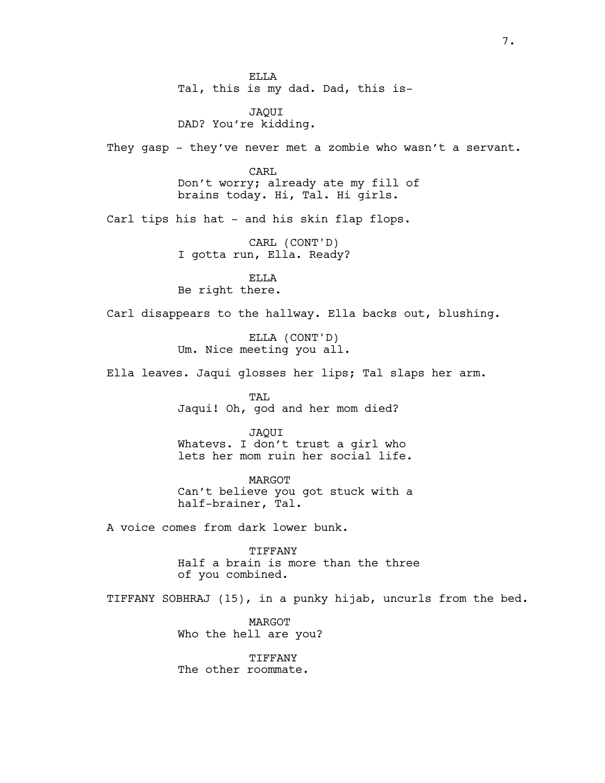ELLA Tal, this is my dad. Dad, this is-

JAQUI DAD? You're kidding.

They gasp - they've never met a zombie who wasn't a servant.

CARL Don't worry; already ate my fill of brains today. Hi, Tal. Hi girls.

Carl tips his hat - and his skin flap flops.

CARL (CONT'D) I gotta run, Ella. Ready?

ELLA Be right there.

Carl disappears to the hallway. Ella backs out, blushing.

ELLA (CONT'D) Um. Nice meeting you all.

Ella leaves. Jaqui glosses her lips; Tal slaps her arm.

TAL Jaqui! Oh, god and her mom died?

JAQUI Whatevs. I don't trust a girl who lets her mom ruin her social life.

MARGOT Can't believe you got stuck with a half-brainer, Tal.

A voice comes from dark lower bunk.

TIFFANY Half a brain is more than the three of you combined.

TIFFANY SOBHRAJ (15), in a punky hijab, uncurls from the bed.

MARGOT Who the hell are you?

TIFFANY The other roommate.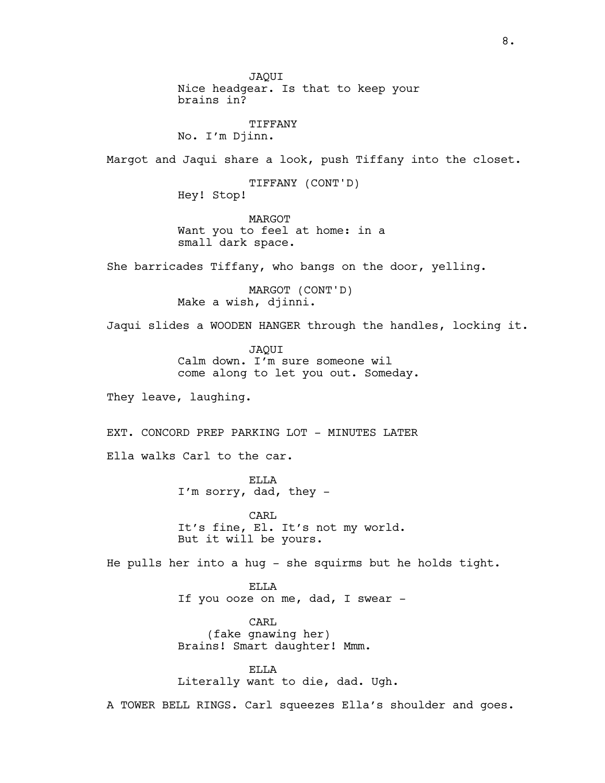JAQUI Nice headgear. Is that to keep your brains in? TIFFANY No. I'm Djinn. Margot and Jaqui share a look, push Tiffany into the closet. TIFFANY (CONT'D) Hey! Stop! MARGOT Want you to feel at home: in a small dark space. She barricades Tiffany, who bangs on the door, yelling. MARGOT (CONT'D) Make a wish, djinni. Jaqui slides a WOODEN HANGER through the handles, locking it. JAQUI Calm down. I'm sure someone wil come along to let you out. Someday. They leave, laughing. EXT. CONCORD PREP PARKING LOT - MINUTES LATER Ella walks Carl to the car. ELLA I'm sorry, dad, they - CARL It's fine, El. It's not my world. But it will be yours. He pulls her into a hug - she squirms but he holds tight. ELLA If you ooze on me, dad, I swear -CARL (fake gnawing her) Brains! Smart daughter! Mmm. ELLA Literally want to die, dad. Ugh.

A TOWER BELL RINGS. Carl squeezes Ella's shoulder and goes.

8.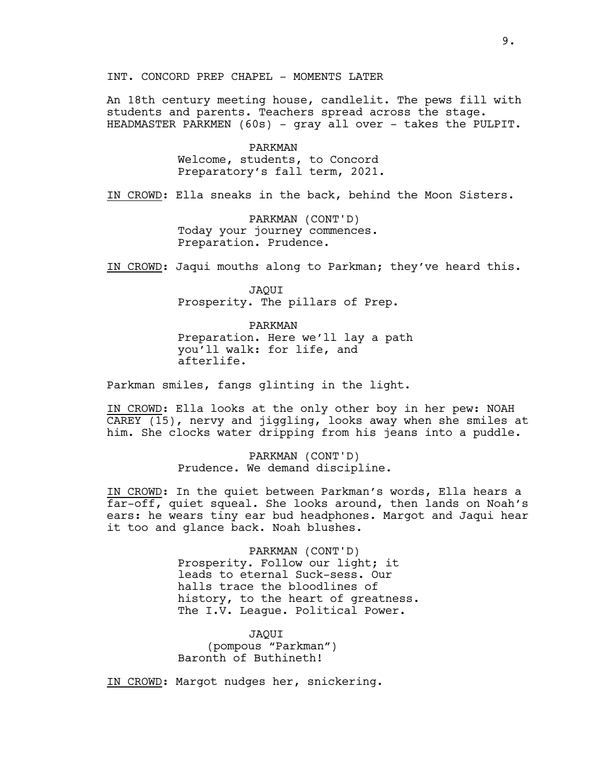INT. CONCORD PREP CHAPEL - MOMENTS LATER

An 18th century meeting house, candlelit. The pews fill with students and parents. Teachers spread across the stage. HEADMASTER PARKMEN (60s) - gray all over - takes the PULPIT.

> PARKMAN Welcome, students, to Concord Preparatory's fall term, 2021.

IN CROWD: Ella sneaks in the back, behind the Moon Sisters.

PARKMAN (CONT'D) Today your journey commences. Preparation. Prudence.

IN CROWD: Jaqui mouths along to Parkman; they've heard this.

JAQUI Prosperity. The pillars of Prep.

PARKMAN Preparation. Here we'll lay a path you'll walk: for life, and afterlife.

Parkman smiles, fangs glinting in the light.

IN CROWD: Ella looks at the only other boy in her pew: NOAH CAREY (15), nervy and jiggling, looks away when she smiles at him. She clocks water dripping from his jeans into a puddle.

> PARKMAN (CONT'D) Prudence. We demand discipline.

IN CROWD: In the quiet between Parkman's words, Ella hears a far-off, quiet squeal. She looks around, then lands on Noah's ears: he wears tiny ear bud headphones. Margot and Jaqui hear it too and glance back. Noah blushes.

> PARKMAN (CONT'D) Prosperity. Follow our light; it leads to eternal Suck-sess. Our halls trace the bloodlines of history, to the heart of greatness. The I.V. League. Political Power.

JAQUI (pompous "Parkman") Baronth of Buthineth!

IN CROWD: Margot nudges her, snickering.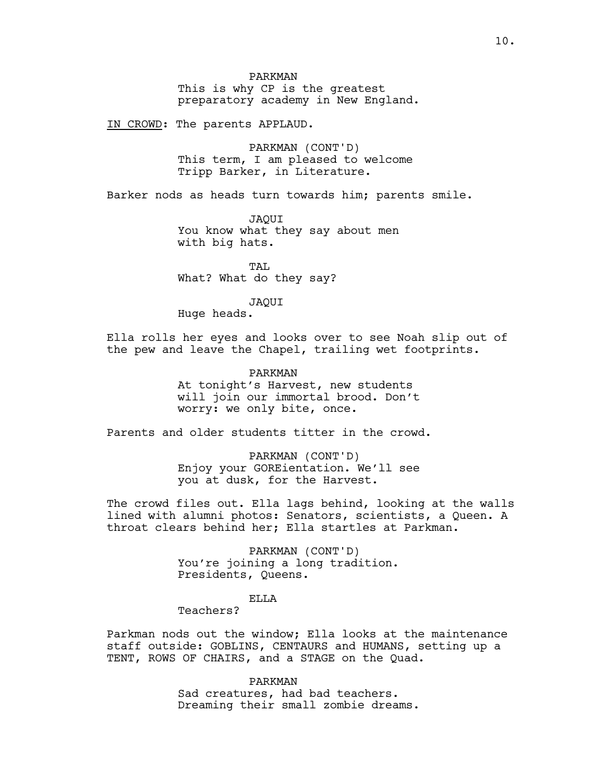PARKMAN This is why CP is the greatest preparatory academy in New England.

IN CROWD: The parents APPLAUD.

PARKMAN (CONT'D) This term, I am pleased to welcome Tripp Barker, in Literature.

Barker nods as heads turn towards him; parents smile.

JAQUI You know what they say about men with big hats.

TAL What? What do they say?

JAQUI

Huge heads.

Ella rolls her eyes and looks over to see Noah slip out of the pew and leave the Chapel, trailing wet footprints.

PARKMAN

At tonight's Harvest, new students will join our immortal brood. Don't worry: we only bite, once.

Parents and older students titter in the crowd.

PARKMAN (CONT'D) Enjoy your GOREientation. We'll see you at dusk, for the Harvest.

The crowd files out. Ella lags behind, looking at the walls lined with alumni photos: Senators, scientists, a Queen. A throat clears behind her; Ella startles at Parkman.

> PARKMAN (CONT'D) You're joining a long tradition. Presidents, Queens.

> > ELLA

Teachers?

Parkman nods out the window; Ella looks at the maintenance staff outside: GOBLINS, CENTAURS and HUMANS, setting up a TENT, ROWS OF CHAIRS, and a STAGE on the Quad.

> PARKMAN Sad creatures, had bad teachers. Dreaming their small zombie dreams.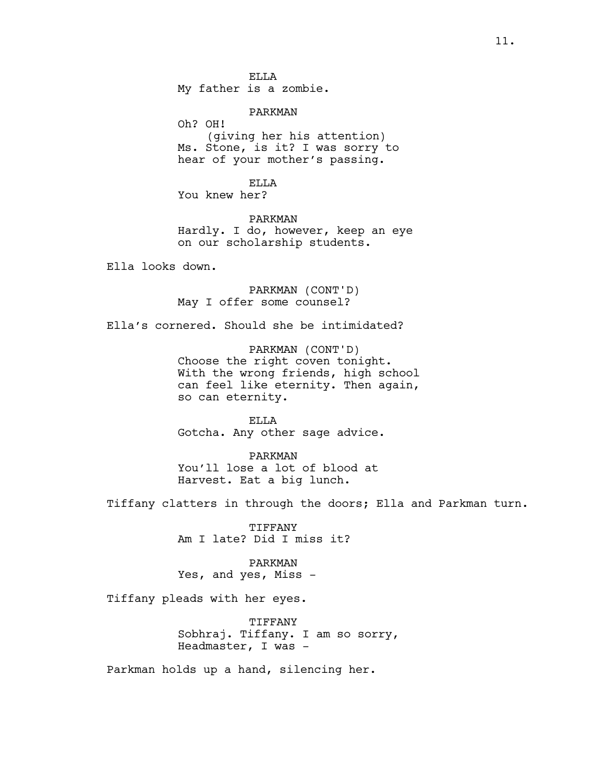ELLA My father is a zombie.

PARKMAN

Oh? OH! (giving her his attention) Ms. Stone, is it? I was sorry to hear of your mother's passing.

ELLA You knew her?

PARKMAN Hardly. I do, however, keep an eye on our scholarship students.

Ella looks down.

PARKMAN (CONT'D) May I offer some counsel?

Ella's cornered. Should she be intimidated?

PARKMAN (CONT'D) Choose the right coven tonight. With the wrong friends, high school can feel like eternity. Then again, so can eternity.

ELLA Gotcha. Any other sage advice.

PARKMAN You'll lose a lot of blood at Harvest. Eat a big lunch.

Tiffany clatters in through the doors; Ella and Parkman turn.

TIFFANY Am I late? Did I miss it?

PARKMAN Yes, and yes, Miss -

Tiffany pleads with her eyes.

TIFFANY Sobhraj. Tiffany. I am so sorry, Headmaster, I was -

Parkman holds up a hand, silencing her.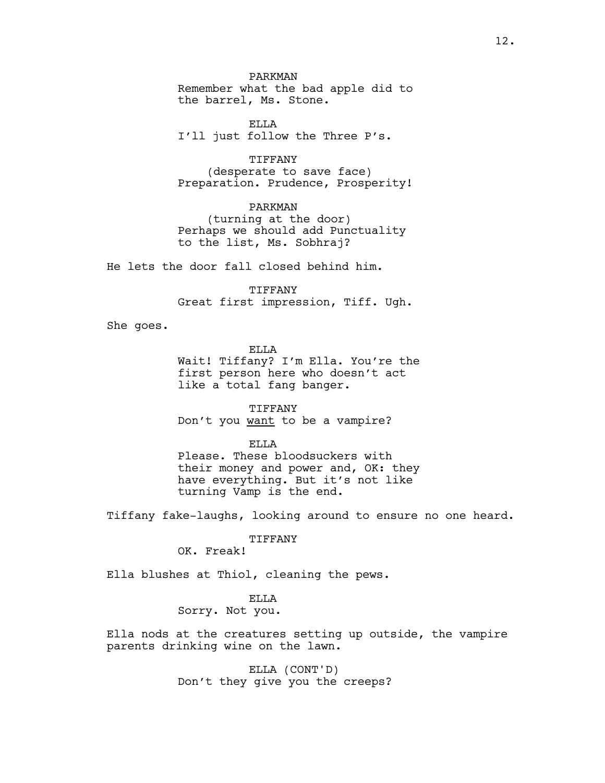PARKMAN Remember what the bad apple did to the barrel, Ms. Stone.

ELLA I'll just follow the Three P's.

TIFFANY (desperate to save face) Preparation. Prudence, Prosperity!

PARKMAN (turning at the door) Perhaps we should add Punctuality to the list, Ms. Sobhraj?

He lets the door fall closed behind him.

TIFFANY Great first impression, Tiff. Ugh.

She goes.

ELLA Wait! Tiffany? I'm Ella. You're the first person here who doesn't act like a total fang banger.

TIFFANY Don't you want to be a vampire?

ELLA Please. These bloodsuckers with their money and power and, OK: they have everything. But it's not like turning Vamp is the end.

Tiffany fake-laughs, looking around to ensure no one heard.

TIFFANY

OK. Freak!

Ella blushes at Thiol, cleaning the pews.

ELLA

Sorry. Not you.

Ella nods at the creatures setting up outside, the vampire parents drinking wine on the lawn.

> ELLA (CONT'D) Don't they give you the creeps?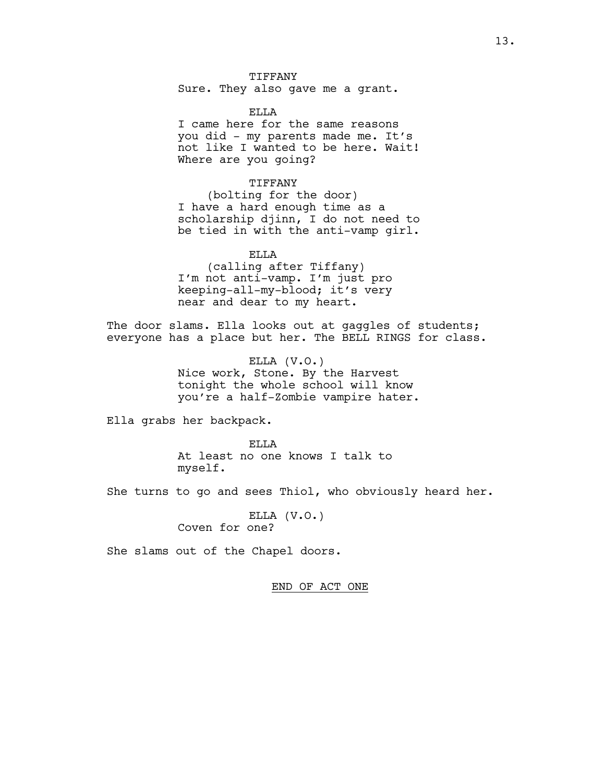TIFFANY Sure. They also gave me a grant.

ELLA

I came here for the same reasons you did - my parents made me. It's not like I wanted to be here. Wait! Where are you going?

TIFFANY

(bolting for the door) I have a hard enough time as a scholarship djinn, I do not need to be tied in with the anti-vamp girl.

ELLA (calling after Tiffany) I'm not anti-vamp. I'm just pro keeping-all-my-blood; it's very near and dear to my heart.

The door slams. Ella looks out at gaggles of students; everyone has a place but her. The BELL RINGS for class.

> ELLA (V.O.) Nice work, Stone. By the Harvest tonight the whole school will know you're a half-Zombie vampire hater.

Ella grabs her backpack.

ELLA At least no one knows I talk to myself.

She turns to go and sees Thiol, who obviously heard her.

ELLA (V.O.) Coven for one?

She slams out of the Chapel doors.

END OF ACT ONE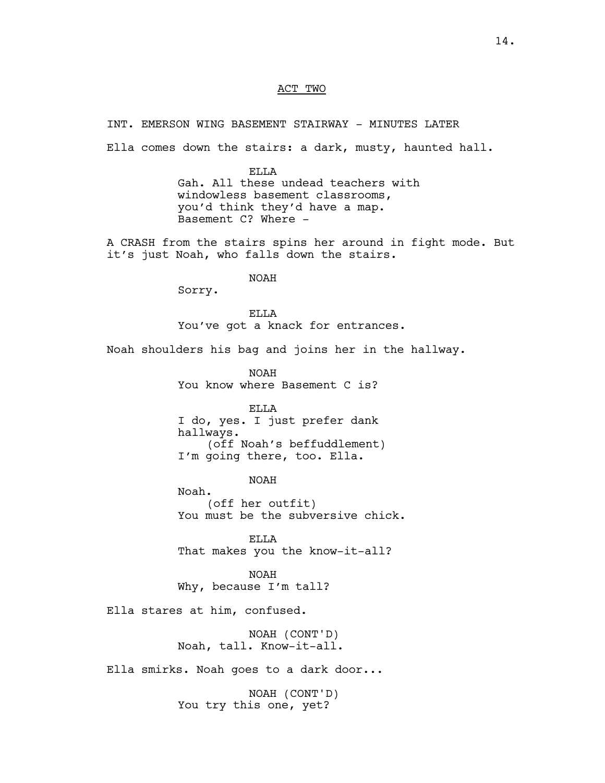# ACT TWO

INT. EMERSON WING BASEMENT STAIRWAY - MINUTES LATER

Ella comes down the stairs: a dark, musty, haunted hall.

ELLA Gah. All these undead teachers with windowless basement classrooms, you'd think they'd have a map. Basement C? Where -

A CRASH from the stairs spins her around in fight mode. But it's just Noah, who falls down the stairs.

NOAH

Sorry.

ELLA You've got a knack for entrances.

Noah shoulders his bag and joins her in the hallway.

NOAH You know where Basement C is?

ELLA I do, yes. I just prefer dank hallways. (off Noah's beffuddlement) I'm going there, too. Ella.

NOAH

Noah. (off her outfit) You must be the subversive chick.

ELLA That makes you the know-it-all?

NOAH Why, because I'm tall?

Ella stares at him, confused.

NOAH (CONT'D) Noah, tall. Know-it-all.

Ella smirks. Noah goes to a dark door...

NOAH (CONT'D) You try this one, yet?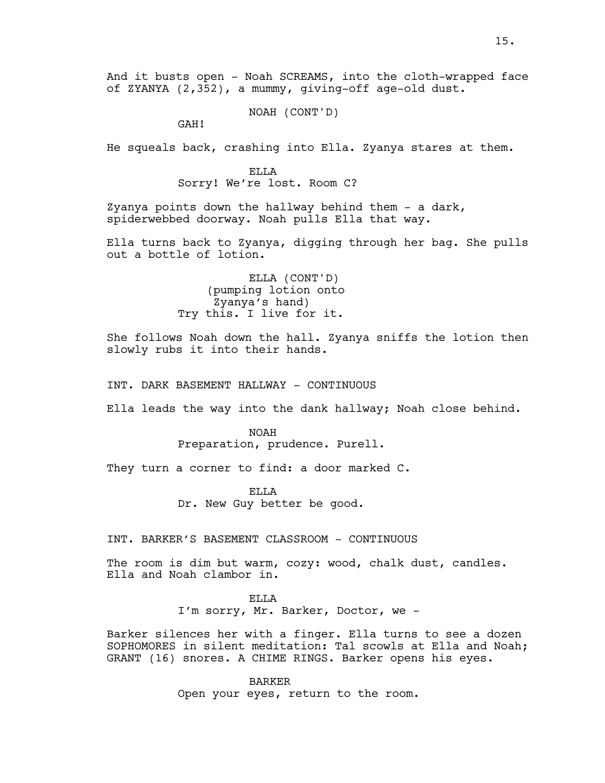NOAH (CONT'D)

GAH!

He squeals back, crashing into Ella. Zyanya stares at them.

ELLA Sorry! We're lost. Room C?

Zyanya points down the hallway behind them - a dark, spiderwebbed doorway. Noah pulls Ella that way.

Ella turns back to Zyanya, digging through her bag. She pulls out a bottle of lotion.

> ELLA (CONT'D) (pumping lotion onto Zyanya's hand) Try this. I live for it.

She follows Noah down the hall. Zyanya sniffs the lotion then slowly rubs it into their hands.

INT. DARK BASEMENT HALLWAY - CONTINUOUS

Ella leads the way into the dank hallway; Noah close behind.

NOAH Preparation, prudence. Purell.

They turn a corner to find: a door marked C.

ELLA Dr. New Guy better be good.

INT. BARKER'S BASEMENT CLASSROOM - CONTINUOUS

The room is dim but warm, cozy: wood, chalk dust, candles. Ella and Noah clambor in.

ELLA

I'm sorry, Mr. Barker, Doctor, we –

Barker silences her with a finger. Ella turns to see a dozen SOPHOMORES in silent meditation: Tal scowls at Ella and Noah; GRANT (16) snores. A CHIME RINGS. Barker opens his eyes.

> BARKER Open your eyes, return to the room.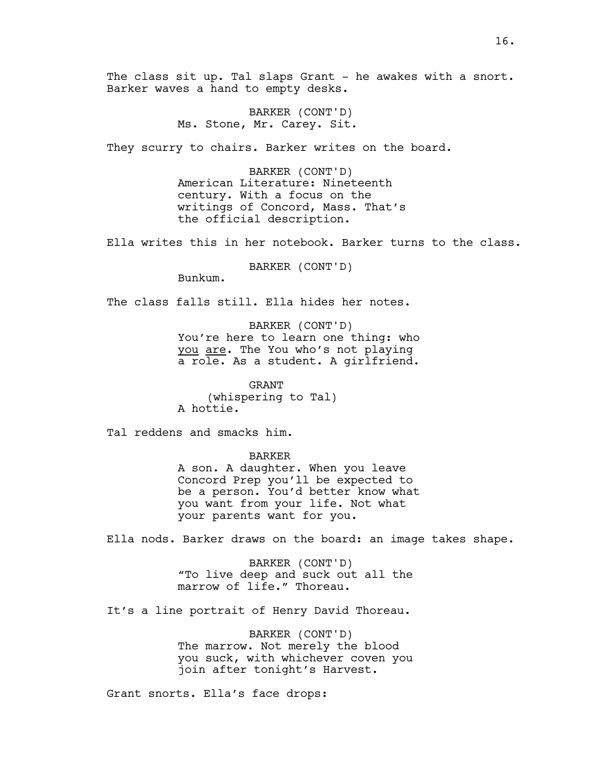The class sit up. Tal slaps Grant – he awakes with a snort. Barker waves a hand to empty desks.

> BARKER (CONT'D) Ms. Stone, Mr. Carey. Sit.

They scurry to chairs. Barker writes on the board.

BARKER (CONT'D) American Literature: Nineteenth century. With a focus on the writings of Concord, Mass. That's the official description.

Ella writes this in her notebook. Barker turns to the class.

BARKER (CONT'D)

Bunkum.

The class falls still. Ella hides her notes.

BARKER (CONT'D) You're here to learn one thing: who you are. The You who's not playing a role. As a student. A girlfriend.

GRANT (whispering to Tal) A hottie.

Tal reddens and smacks him.

BARKER

A son. A daughter. When you leave Concord Prep you'll be expected to be a person. You'd better know what you want from your life. Not what your parents want for you.

Ella nods. Barker draws on the board: an image takes shape.

BARKER (CONT'D) "To live deep and suck out all the marrow of life." Thoreau.

It's a line portrait of Henry David Thoreau.

BARKER (CONT'D) The marrow. Not merely the blood you suck, with whichever coven you join after tonight's Harvest.

Grant snorts. Ella's face drops: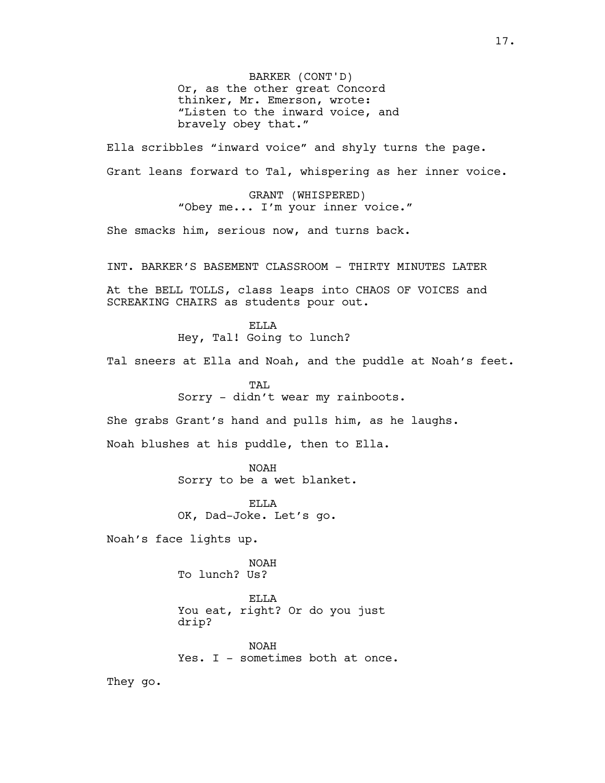BARKER (CONT'D) Or, as the other great Concord thinker, Mr. Emerson, wrote: "Listen to the inward voice, and bravely obey that."

Ella scribbles "inward voice" and shyly turns the page. Grant leans forward to Tal, whispering as her inner voice.

> GRANT (WHISPERED) "Obey me... I'm your inner voice."

She smacks him, serious now, and turns back.

INT. BARKER'S BASEMENT CLASSROOM - THIRTY MINUTES LATER At the BELL TOLLS, class leaps into CHAOS OF VOICES and

> ELLA Hey, Tal! Going to lunch?

SCREAKING CHAIRS as students pour out.

Tal sneers at Ella and Noah, and the puddle at Noah's feet.

TAL. Sorry - didn't wear my rainboots.

She grabs Grant's hand and pulls him, as he laughs.

Noah blushes at his puddle, then to Ella.

NOAH Sorry to be a wet blanket.

ELLA OK, Dad-Joke. Let's go.

Noah's face lights up.

NOAH To lunch? Us?

ELLA You eat, right? Or do you just drip?

NOAH Yes. I - sometimes both at once.

They go.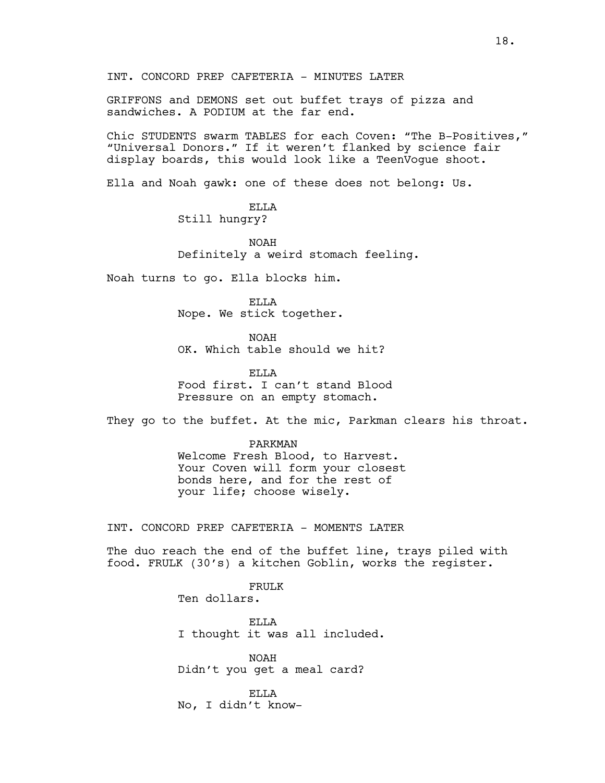GRIFFONS and DEMONS set out buffet trays of pizza and sandwiches. A PODIUM at the far end.

Chic STUDENTS swarm TABLES for each Coven: "The B-Positives," "Universal Donors." If it weren't flanked by science fair display boards, this would look like a TeenVogue shoot.

Ella and Noah gawk: one of these does not belong: Us.

# ELLA Still hungry?

NOAH Definitely a weird stomach feeling.

Noah turns to go. Ella blocks him.

ELLA Nope. We stick together.

NOAH OK. Which table should we hit?

ELLA Food first. I can't stand Blood Pressure on an empty stomach.

They go to the buffet. At the mic, Parkman clears his throat.

# PARKMAN Welcome Fresh Blood, to Harvest. Your Coven will form your closest bonds here, and for the rest of your life; choose wisely.

INT. CONCORD PREP CAFETERIA - MOMENTS LATER

The duo reach the end of the buffet line, trays piled with food. FRULK (30's) a kitchen Goblin, works the register.

> FRULK Ten dollars.

ELLA I thought it was all included.

NOAH Didn't you get a meal card?

ELLA No, I didn't know-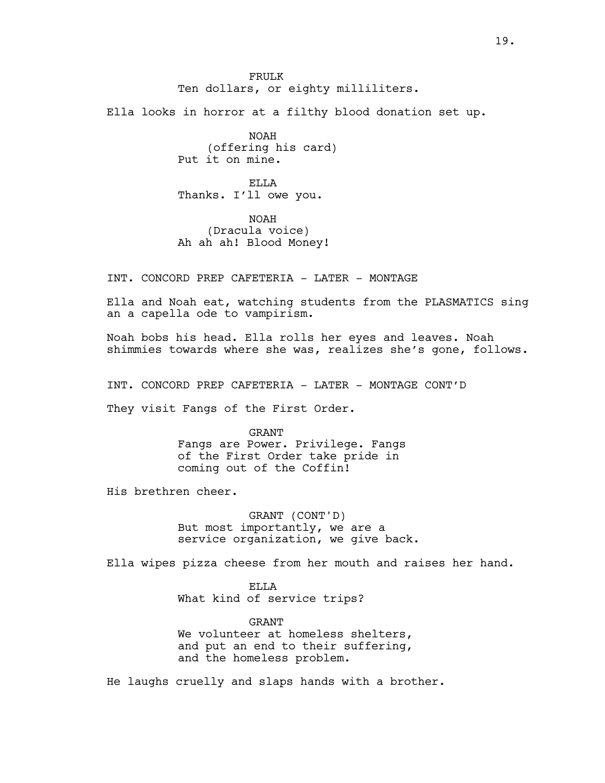FRULK Ten dollars, or eighty milliliters.

Ella looks in horror at a filthy blood donation set up.

NOAH (offering his card) Put it on mine.

ELLA Thanks. I'll owe you.

NOAH (Dracula voice) Ah ah ah! Blood Money!

INT. CONCORD PREP CAFETERIA - LATER - MONTAGE

Ella and Noah eat, watching students from the PLASMATICS sing an a capella ode to vampirism.

Noah bobs his head. Ella rolls her eyes and leaves. Noah shimmies towards where she was, realizes she's gone, follows.

INT. CONCORD PREP CAFETERIA - LATER - MONTAGE CONT'D

They visit Fangs of the First Order.

GRANT Fangs are Power. Privilege. Fangs of the First Order take pride in coming out of the Coffin!

His brethren cheer.

GRANT (CONT'D) But most importantly, we are a service organization, we give back.

Ella wipes pizza cheese from her mouth and raises her hand.

ELLA What kind of service trips?

GRANT We volunteer at homeless shelters, and put an end to their suffering, and the homeless problem.

He laughs cruelly and slaps hands with a brother.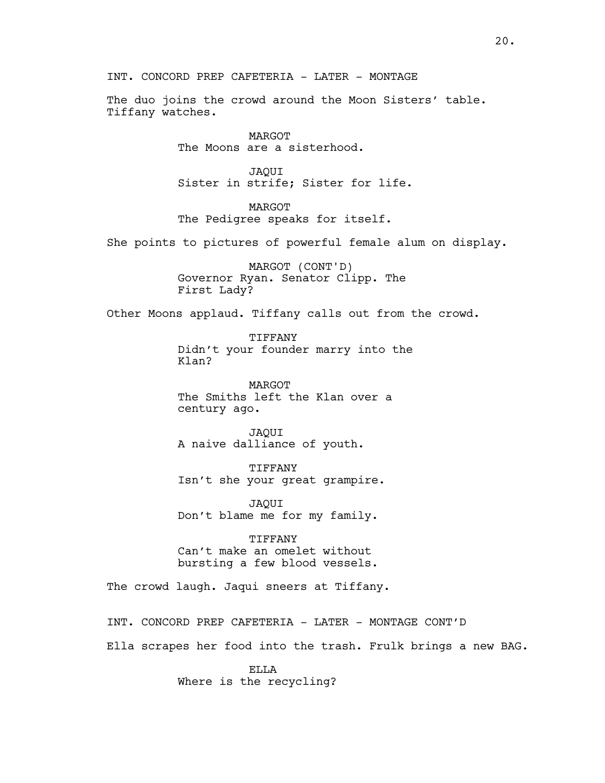INT. CONCORD PREP CAFETERIA - LATER - MONTAGE

The duo joins the crowd around the Moon Sisters' table. Tiffany watches.

> MARGOT The Moons are a sisterhood.

JAQUI Sister in strife; Sister for life.

MARGOT The Pedigree speaks for itself.

She points to pictures of powerful female alum on display.

MARGOT (CONT'D) Governor Ryan. Senator Clipp. The First Lady?

Other Moons applaud. Tiffany calls out from the crowd.

**TIFFANY** Didn't your founder marry into the Klan?

MARGOT The Smiths left the Klan over a century ago.

JAQUI A naive dalliance of youth.

TIFFANY Isn't she your great grampire.

JAQUI Don't blame me for my family.

TIFFANY Can't make an omelet without bursting a few blood vessels.

The crowd laugh. Jaqui sneers at Tiffany.

INT. CONCORD PREP CAFETERIA - LATER - MONTAGE CONT'D

Ella scrapes her food into the trash. Frulk brings a new BAG.

ELLA Where is the recycling?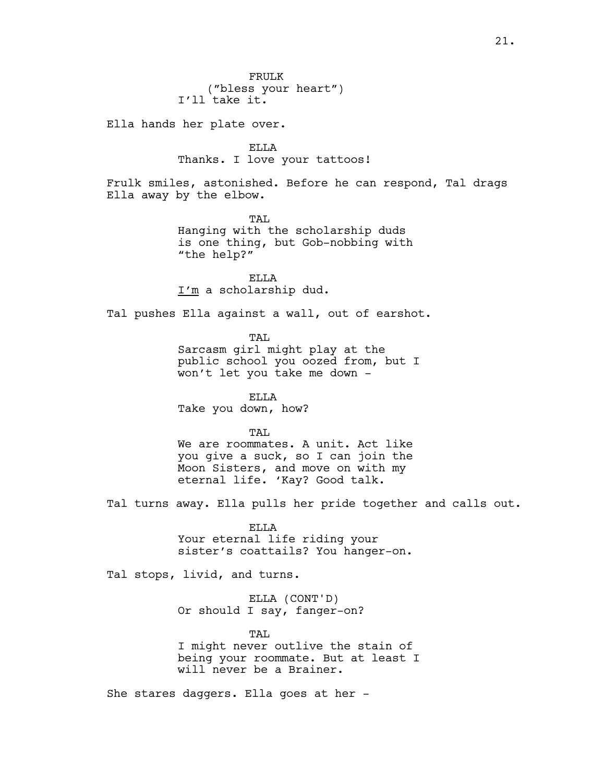Ella hands her plate over.

ELLA Thanks. I love your tattoos!

Frulk smiles, astonished. Before he can respond, Tal drags Ella away by the elbow.

> TAL Hanging with the scholarship duds is one thing, but Gob-nobbing with "the help?"

ELLA I'm a scholarship dud.

Tal pushes Ella against a wall, out of earshot.

TAL

Sarcasm girl might play at the public school you oozed from, but I won't let you take me down -

ELLA Take you down, how?

TAL.

We are roommates. A unit. Act like you give a suck, so I can join the Moon Sisters, and move on with my eternal life. 'Kay? Good talk.

Tal turns away. Ella pulls her pride together and calls out.

ELLA Your eternal life riding your sister's coattails? You hanger-on.

Tal stops, livid, and turns.

ELLA (CONT'D) Or should I say, fanger-on?

TAL

I might never outlive the stain of being your roommate. But at least I will never be a Brainer.

She stares daggers. Ella goes at her -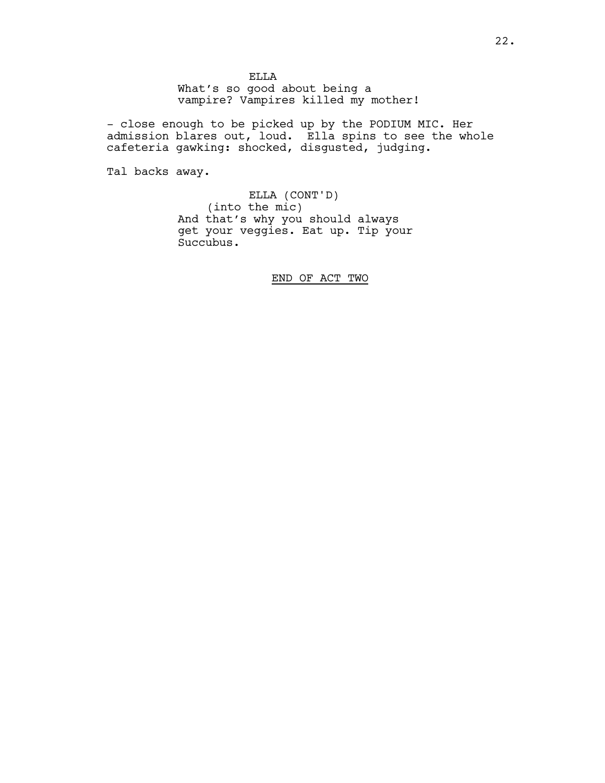ELLA What's so good about being a vampire? Vampires killed my mother!

- close enough to be picked up by the PODIUM MIC. Her admission blares out, loud. Ella spins to see the whole cafeteria gawking: shocked, disgusted, judging.

Tal backs away.

ELLA (CONT'D) (into the mic) And that's why you should always get your veggies. Eat up. Tip your Succubus.

END OF ACT TWO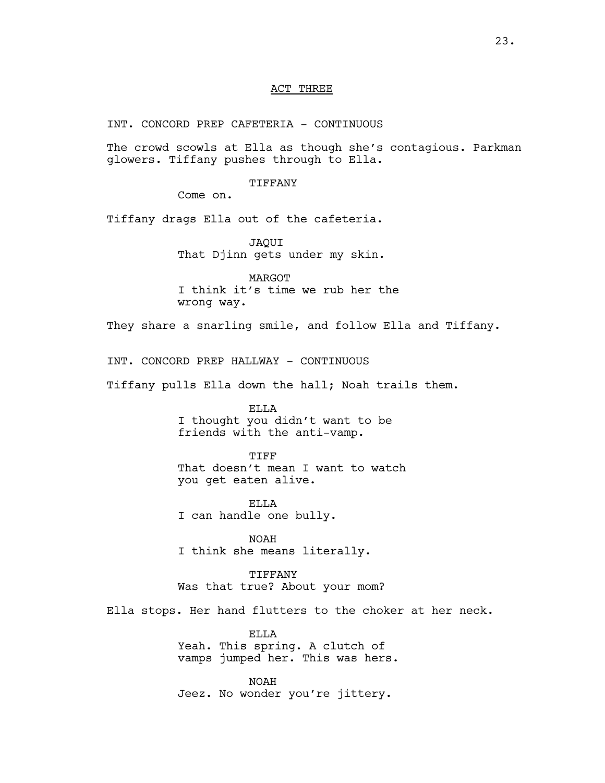# ACT THREE

INT. CONCORD PREP CAFETERIA - CONTINUOUS

The crowd scowls at Ella as though she's contagious. Parkman glowers. Tiffany pushes through to Ella.

### TIFFANY

Come on.

Tiffany drags Ella out of the cafeteria.

JAQUI That Djinn gets under my skin.

MARGOT I think it's time we rub her the wrong way.

They share a snarling smile, and follow Ella and Tiffany.

INT. CONCORD PREP HALLWAY - CONTINUOUS

Tiffany pulls Ella down the hall; Noah trails them.

ELLA I thought you didn't want to be friends with the anti-vamp.

#### TIFF

That doesn't mean I want to watch you get eaten alive.

ELLA I can handle one bully.

NOAH I think she means literally.

TIFFANY Was that true? About your mom?

Ella stops. Her hand flutters to the choker at her neck.

ELLA Yeah. This spring. A clutch of vamps jumped her. This was hers.

NOAH Jeez. No wonder you're jittery.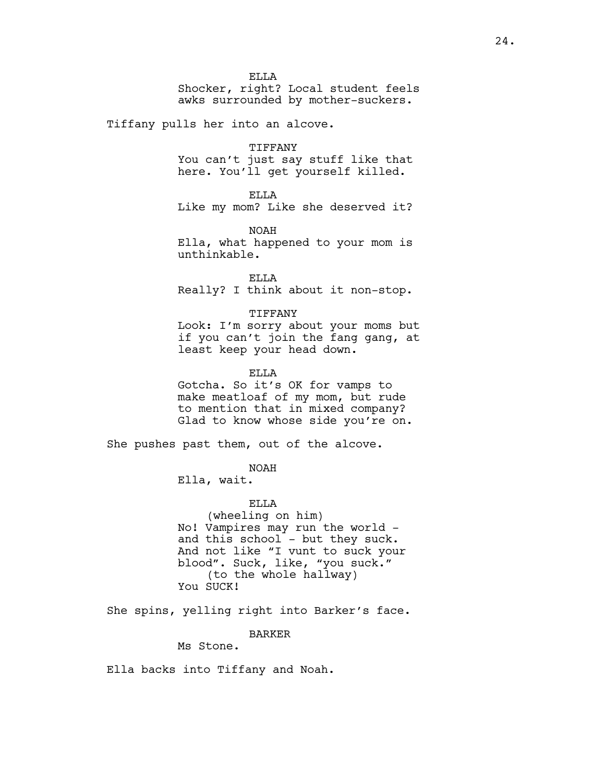ELLA Shocker, right? Local student feels awks surrounded by mother-suckers.

Tiffany pulls her into an alcove.

#### TIFFANY

You can't just say stuff like that here. You'll get yourself killed.

#### ELLA

Like my mom? Like she deserved it?

NOAH Ella, what happened to your mom is unthinkable.

ELLA Really? I think about it non-stop.

#### TIFFANY

Look: I'm sorry about your moms but if you can't join the fang gang, at least keep your head down.

#### ELLA

Gotcha. So it's OK for vamps to make meatloaf of my mom, but rude to mention that in mixed company? Glad to know whose side you're on.

She pushes past them, out of the alcove.

# NOAH

Ella, wait.

ELLA

(wheeling on him) No! Vampires may run the world and this school - but they suck. And not like "I vunt to suck your blood". Suck, like, "you suck." (to the whole hallway) You SUCK!

She spins, yelling right into Barker's face.

BARKER

Ms Stone.

Ella backs into Tiffany and Noah.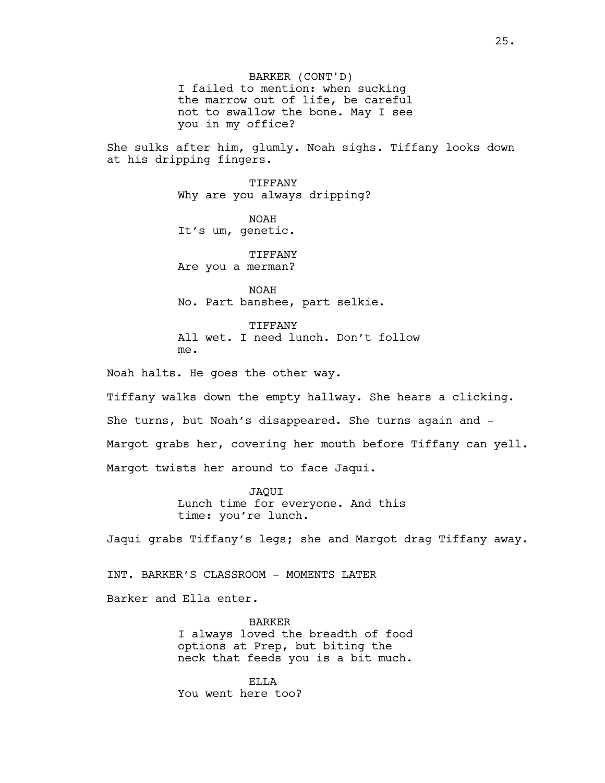BARKER (CONT'D) I failed to mention: when sucking the marrow out of life, be careful not to swallow the bone. May I see you in my office?

She sulks after him, glumly. Noah sighs. Tiffany looks down at his dripping fingers.

> TIFFANY Why are you always dripping?

NOAH It's um, genetic.

**TIFFANY** Are you a merman?

NOAH No. Part banshee, part selkie.

TIFFANY All wet. I need lunch. Don't follow me.

Noah halts. He goes the other way.

Tiffany walks down the empty hallway. She hears a clicking. She turns, but Noah's disappeared. She turns again and - Margot grabs her, covering her mouth before Tiffany can yell. Margot twists her around to face Jaqui.

> JAQUI Lunch time for everyone. And this time: you're lunch.

Jaqui grabs Tiffany's legs; she and Margot drag Tiffany away.

INT. BARKER'S CLASSROOM - MOMENTS LATER

Barker and Ella enter.

BARKER I always loved the breadth of food options at Prep, but biting the neck that feeds you is a bit much.

ELLA You went here too?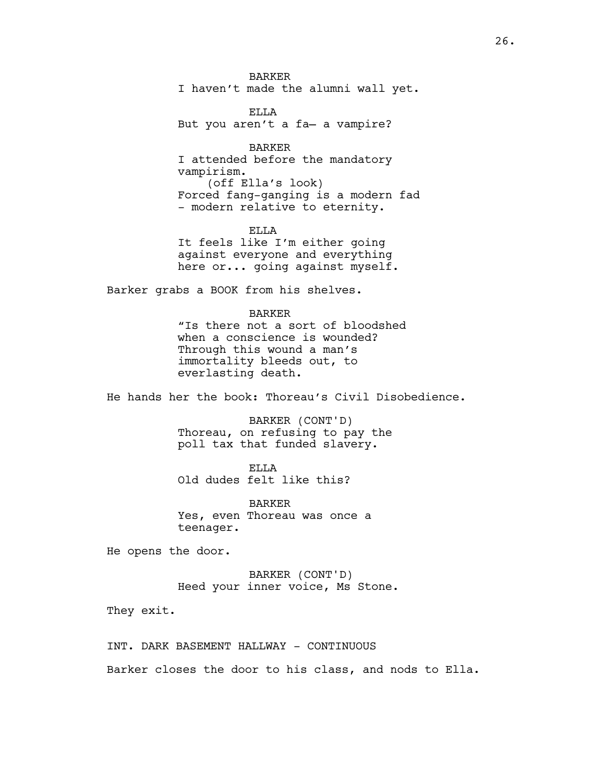BARKER I haven't made the alumni wall yet.

ELLA But you aren't a fa— a vampire?

BARKER I attended before the mandatory vampirism. (off Ella's look) Forced fang-ganging is a modern fad - modern relative to eternity.

ELLA It feels like I'm either going against everyone and everything here or... going against myself.

Barker grabs a BOOK from his shelves.

#### BARKER

"Is there not a sort of bloodshed when a conscience is wounded? Through this wound a man's immortality bleeds out, to everlasting death.

He hands her the book: Thoreau's Civil Disobedience.

BARKER (CONT'D) Thoreau, on refusing to pay the poll tax that funded slavery.

ELLA Old dudes felt like this?

BARKER Yes, even Thoreau was once a teenager.

He opens the door.

BARKER (CONT'D) Heed your inner voice, Ms Stone.

They exit.

INT. DARK BASEMENT HALLWAY - CONTINUOUS

Barker closes the door to his class, and nods to Ella.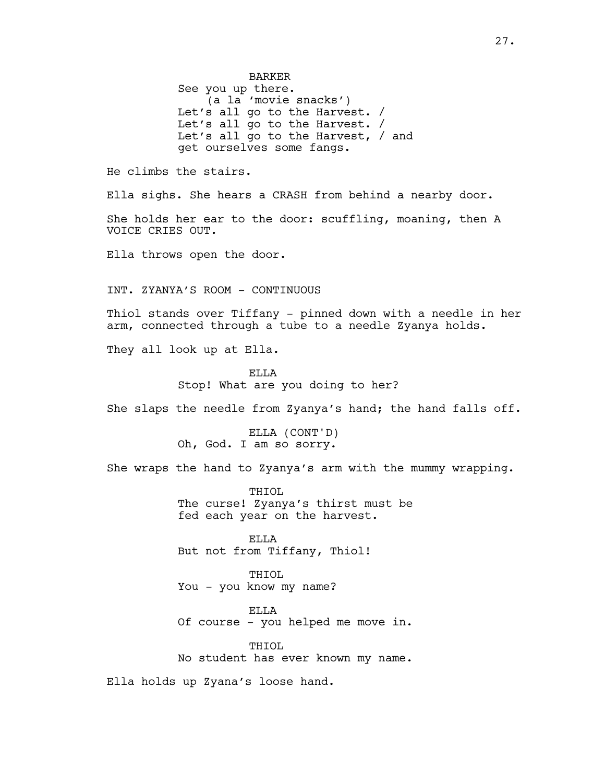BARKER See you up there. (a la 'movie snacks') Let's all go to the Harvest. / Let's all go to the Harvest. / Let's all go to the Harvest, / and get ourselves some fangs. He climbs the stairs. Ella sighs. She hears a CRASH from behind a nearby door. She holds her ear to the door: scuffling, moaning, then A VOICE CRIES OUT. Ella throws open the door. INT. ZYANYA'S ROOM - CONTINUOUS

Thiol stands over Tiffany - pinned down with a needle in her arm, connected through a tube to a needle Zyanya holds.

They all look up at Ella.

ELLA Stop! What are you doing to her?

She slaps the needle from Zyanya's hand; the hand falls off.

ELLA (CONT'D) Oh, God. I am so sorry.

She wraps the hand to Zyanya's arm with the mummy wrapping.

THIOL The curse! Zyanya's thirst must be fed each year on the harvest.

ELLA But not from Tiffany, Thiol!

THIOL You - you know my name?

ELLA Of course - you helped me move in.

THIOL No student has ever known my name.

Ella holds up Zyana's loose hand.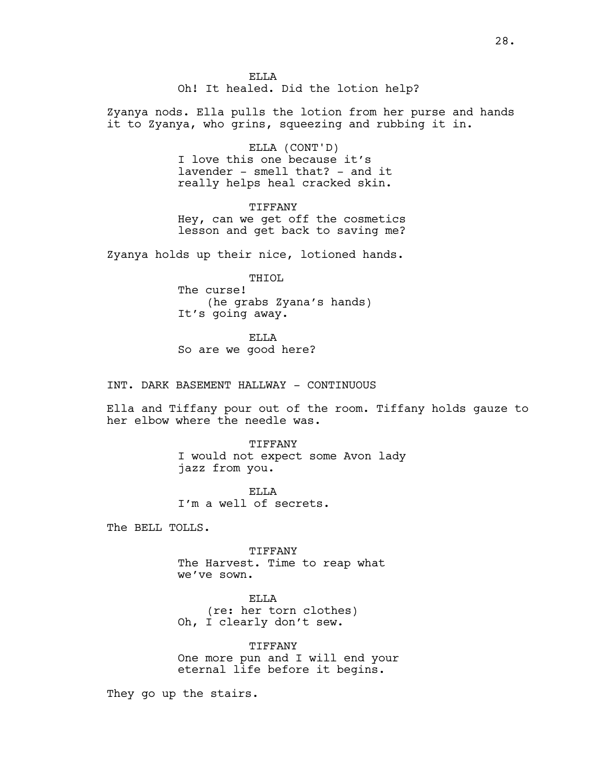Zyanya nods. Ella pulls the lotion from her purse and hands it to Zyanya, who grins, squeezing and rubbing it in.

> ELLA (CONT'D) I love this one because it's lavender - smell that? - and it really helps heal cracked skin.

TIFFANY Hey, can we get off the cosmetics lesson and get back to saving me?

Zyanya holds up their nice, lotioned hands.

THIOL The curse! (he grabs Zyana's hands) It's going away.

ELLA So are we good here?

INT. DARK BASEMENT HALLWAY - CONTINUOUS

Ella and Tiffany pour out of the room. Tiffany holds gauze to her elbow where the needle was.

> TIFFANY I would not expect some Avon lady jazz from you.

ELLA I'm a well of secrets.

The BELL TOLLS.

TIFFANY The Harvest. Time to reap what we've sown.

ELLA (re: her torn clothes) Oh, I clearly don't sew.

TIFFANY One more pun and I will end your eternal life before it begins.

They go up the stairs.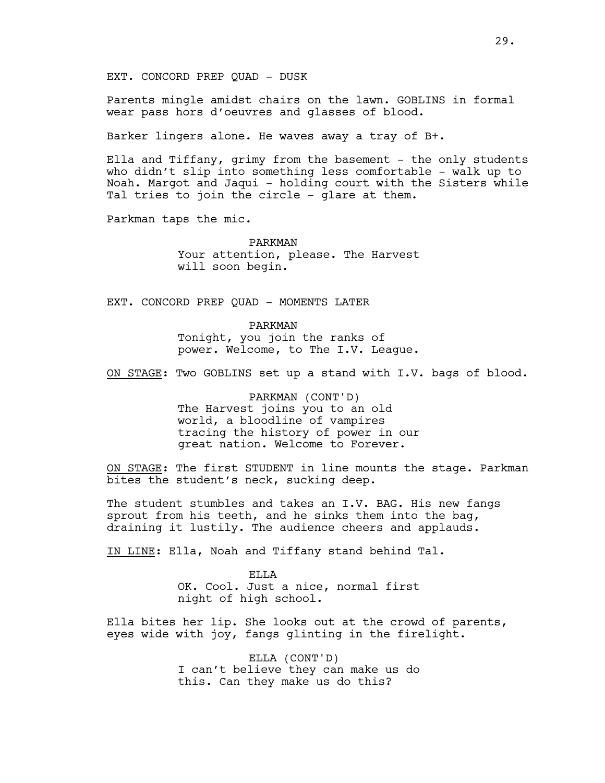Parents mingle amidst chairs on the lawn. GOBLINS in formal wear pass hors d'oeuvres and glasses of blood.

Barker lingers alone. He waves away a tray of B+.

Ella and Tiffany, grimy from the basement  $-$  the only students who didn't slip into something less comfortable - walk up to Noah. Margot and Jaqui - holding court with the Sisters while Tal tries to join the circle - glare at them.

Parkman taps the mic.

PARKMAN Your attention, please. The Harvest will soon begin.

EXT. CONCORD PREP QUAD - MOMENTS LATER

PARKMAN Tonight, you join the ranks of power. Welcome, to The I.V. League.

ON STAGE: Two GOBLINS set up a stand with I.V. bags of blood.

PARKMAN (CONT'D) The Harvest joins you to an old world, a bloodline of vampires tracing the history of power in our great nation. Welcome to Forever.

ON STAGE: The first STUDENT in line mounts the stage. Parkman bites the student's neck, sucking deep.

The student stumbles and takes an I.V. BAG. His new fangs sprout from his teeth, and he sinks them into the bag, draining it lustily. The audience cheers and applauds.

IN LINE: Ella, Noah and Tiffany stand behind Tal.

ELLA OK. Cool. Just a nice, normal first night of high school.

Ella bites her lip. She looks out at the crowd of parents, eyes wide with joy, fangs glinting in the firelight.

> ELLA (CONT'D) I can't believe they can make us do this. Can they make us do this?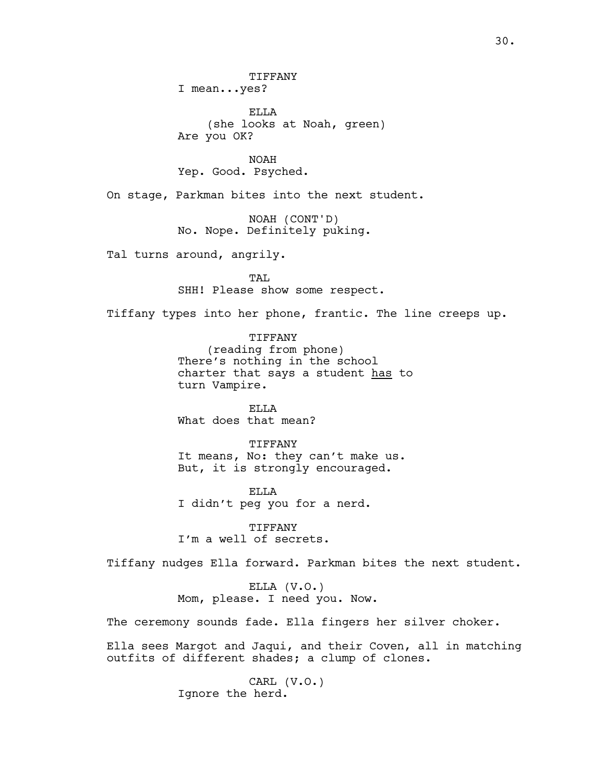TIFFANY I mean...yes?

ELLA (she looks at Noah, green) Are you OK?

NOAH Yep. Good. Psyched.

On stage, Parkman bites into the next student.

NOAH (CONT'D) No. Nope. Definitely puking.

Tal turns around, angrily.

TAL SHH! Please show some respect.

Tiffany types into her phone, frantic. The line creeps up.

TIFFANY (reading from phone) There's nothing in the school charter that says a student has to turn Vampire.

ELLA What does that mean?

TIFFANY It means, No: they can't make us. But, it is strongly encouraged.

ELLA I didn't peg you for a nerd.

TIFFANY I'm a well of secrets.

Tiffany nudges Ella forward. Parkman bites the next student.

ELLA (V.O.) Mom, please. I need you. Now.

The ceremony sounds fade. Ella fingers her silver choker.

Ella sees Margot and Jaqui, and their Coven, all in matching outfits of different shades; a clump of clones.

> CARL (V.O.) Ignore the herd.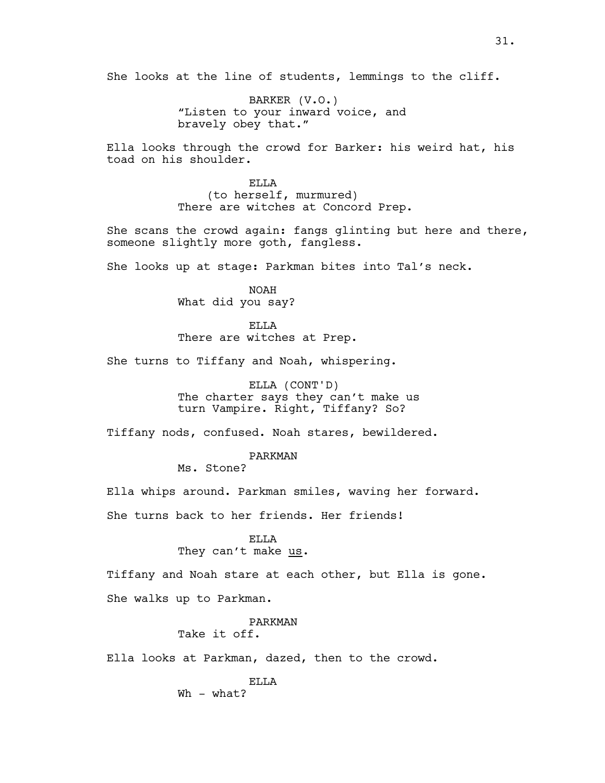She looks at the line of students, lemmings to the cliff.

BARKER (V.O.) "Listen to your inward voice, and bravely obey that."

Ella looks through the crowd for Barker: his weird hat, his toad on his shoulder.

> ELLA (to herself, murmured) There are witches at Concord Prep.

She scans the crowd again: fangs glinting but here and there, someone slightly more goth, fangless.

She looks up at stage: Parkman bites into Tal's neck.

NOAH What did you say?

ELLA There are witches at Prep.

She turns to Tiffany and Noah, whispering.

ELLA (CONT'D) The charter says they can't make us turn Vampire. Right, Tiffany? So?

Tiffany nods, confused. Noah stares, bewildered.

PARKMAN Ms. Stone?

Ella whips around. Parkman smiles, waving her forward.

She turns back to her friends. Her friends!

ELLA They can't make us.

Tiffany and Noah stare at each other, but Ella is gone.

She walks up to Parkman.

# PARKMAN

Take it off.

Ella looks at Parkman, dazed, then to the crowd.

ELLA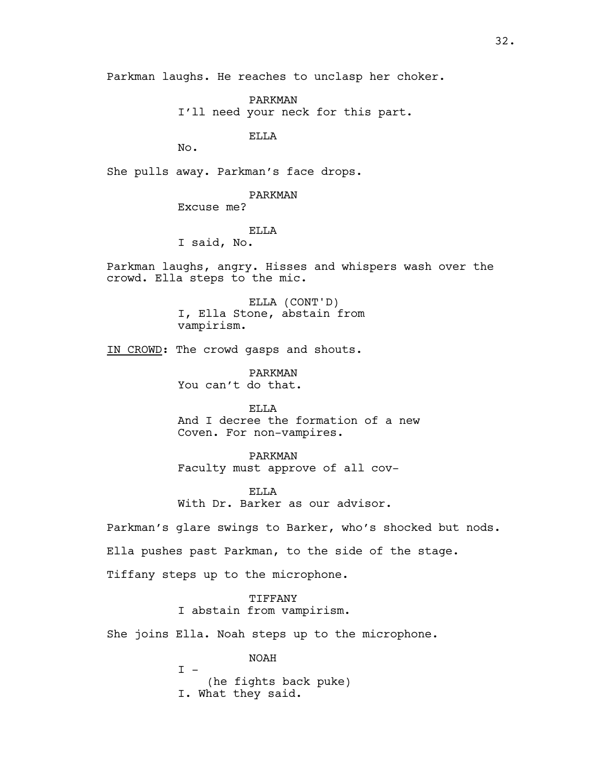Parkman laughs. He reaches to unclasp her choker.

PARKMAN I'll need your neck for this part.

ELLA

No.

She pulls away. Parkman's face drops.

PARKMAN Excuse me?

# ELLA

I said, No.

Parkman laughs, angry. Hisses and whispers wash over the crowd. Ella steps to the mic.

> ELLA (CONT'D) I, Ella Stone, abstain from vampirism.

IN CROWD: The crowd gasps and shouts.

PARKMAN You can't do that.

ELLA And I decree the formation of a new Coven. For non-vampires.

PARKMAN Faculty must approve of all cov-

ELLA With Dr. Barker as our advisor.

Parkman's glare swings to Barker, who's shocked but nods.

Ella pushes past Parkman, to the side of the stage.

Tiffany steps up to the microphone.

TIFFANY I abstain from vampirism.

She joins Ella. Noah steps up to the microphone.

NOAH  $I -$ (he fights back puke) I. What they said.